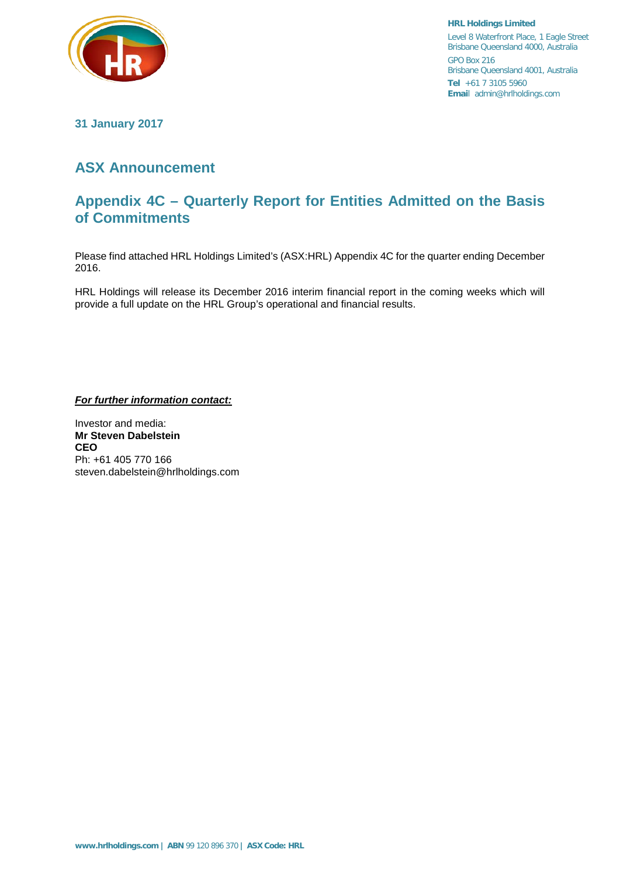

**HRL Holdings Limited** Level 8 Waterfront Place, 1 Eagle Street Brisbane Queensland 4000, Australia GPO Box 216 Brisbane Queensland 4001, Australia **Tel** +61 7 3105 5960 **Emai**l admin@hrlholdings.com

**31 January 2017**

## **ASX Announcement**

## **Appendix 4C – Quarterly Report for Entities Admitted on the Basis of Commitments**

Please find attached HRL Holdings Limited's (ASX:HRL) Appendix 4C for the quarter ending December 2016.

HRL Holdings will release its December 2016 interim financial report in the coming weeks which will provide a full update on the HRL Group's operational and financial results.

*For further information contact:*

Investor and media: **Mr Steven Dabelstein CEO** Ph: +61 405 770 166 steven.dabelstein@hrlholdings.com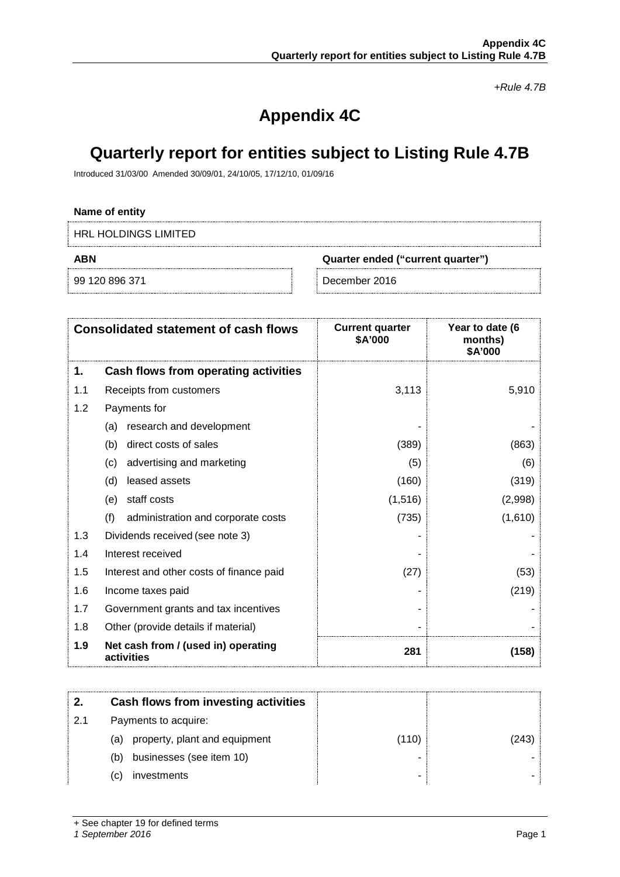*+Rule 4.7B*

# **Appendix 4C**

# **Quarterly report for entities subject to Listing Rule 4.7B**

Introduced 31/03/00 Amended 30/09/01, 24/10/05, 17/12/10, 01/09/16

#### **Name of entity**

HRL HOLDINGS LIMITED

**ABN Quarter ended ("current quarter")**

99 120 896 371 December 2016

| <b>Consolidated statement of cash flows</b> |                                                   | <b>Current quarter</b><br>\$A'000 | Year to date (6<br>months)<br>\$A'000 |
|---------------------------------------------|---------------------------------------------------|-----------------------------------|---------------------------------------|
| 1.                                          | Cash flows from operating activities              |                                   |                                       |
| 1.1                                         | Receipts from customers                           | 3,113                             | 5,910                                 |
| 1.2                                         | Payments for                                      |                                   |                                       |
|                                             | research and development<br>(a)                   |                                   |                                       |
|                                             | direct costs of sales<br>(b)                      | (389)                             | (863)                                 |
|                                             | advertising and marketing<br>(c)                  | (5)                               | (6)                                   |
|                                             | leased assets<br>(d)                              | (160)                             | (319)                                 |
|                                             | staff costs<br>(e)                                | (1,516)                           | (2,998)                               |
|                                             | (f)<br>administration and corporate costs         | (735)                             | (1,610)                               |
| 1.3                                         | Dividends received (see note 3)                   |                                   |                                       |
| 1.4                                         | Interest received                                 |                                   |                                       |
| 1.5                                         | Interest and other costs of finance paid          | (27)                              | (53)                                  |
| 1.6                                         | Income taxes paid                                 |                                   | (219)                                 |
| 1.7                                         | Government grants and tax incentives              |                                   |                                       |
| 1.8                                         | Other (provide details if material)               |                                   |                                       |
| 1.9                                         | Net cash from / (used in) operating<br>activities | 281                               | (158)                                 |

|    | Cash flows from investing activities |       |       |
|----|--------------------------------------|-------|-------|
| 21 | Payments to acquire:                 |       |       |
|    | property, plant and equipment<br>(a) | (110) | (243) |
|    | businesses (see item 10)<br>(b)      |       |       |
|    | investments<br>(C)                   |       |       |

+ See chapter 19 for defined terms

#### *1 September 2016* Page 1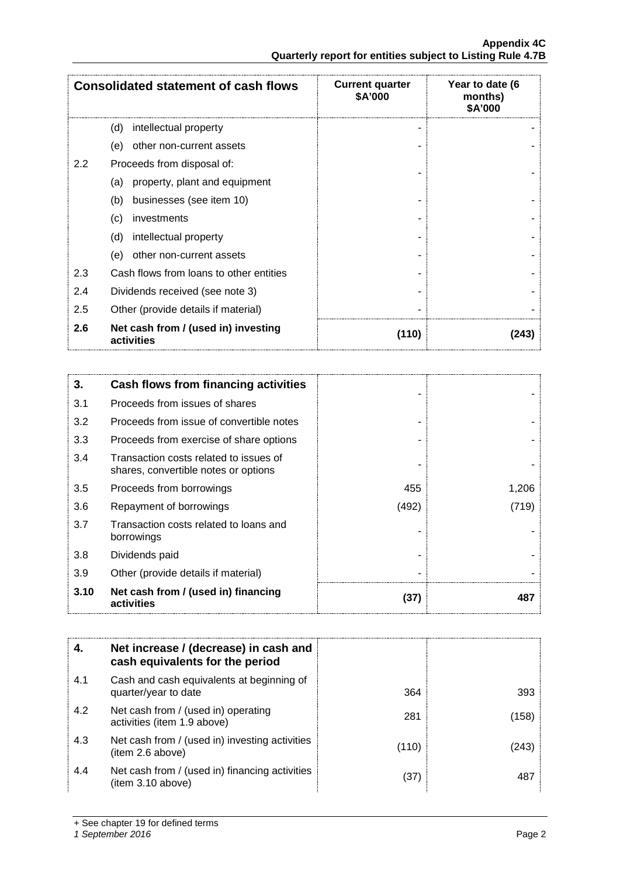| <b>Consolidated statement of cash flows</b> |                                                   | <b>Current quarter</b><br>\$A'000 | Year to date (6<br>months)<br>\$A'000 |
|---------------------------------------------|---------------------------------------------------|-----------------------------------|---------------------------------------|
|                                             | (d)<br>intellectual property                      |                                   |                                       |
|                                             | other non-current assets<br>(e)                   |                                   |                                       |
| 2.2                                         | Proceeds from disposal of:                        |                                   |                                       |
|                                             | property, plant and equipment<br>(a)              |                                   |                                       |
|                                             | businesses (see item 10)<br>(b)                   |                                   |                                       |
|                                             | (c)<br>investments                                |                                   |                                       |
|                                             | (d)<br>intellectual property                      |                                   |                                       |
|                                             | (e)<br>other non-current assets                   |                                   |                                       |
| 2.3                                         | Cash flows from loans to other entities           |                                   |                                       |
| 2.4                                         | Dividends received (see note 3)                   |                                   |                                       |
| 2.5                                         | Other (provide details if material)               |                                   |                                       |
| 2.6                                         | Net cash from / (used in) investing<br>activities | (110)                             | (243)                                 |

| 3.   | <b>Cash flows from financing activities</b>                                    |       |       |
|------|--------------------------------------------------------------------------------|-------|-------|
| 3.1  | Proceeds from issues of shares                                                 |       |       |
| 3.2  | Proceeds from issue of convertible notes                                       |       |       |
| 3.3  | Proceeds from exercise of share options                                        |       |       |
| 3.4  | Transaction costs related to issues of<br>shares, convertible notes or options |       |       |
| 3.5  | Proceeds from borrowings                                                       | 455   | 1,206 |
| 3.6  | Repayment of borrowings                                                        | (492) | (719) |
| 3.7  | Transaction costs related to loans and<br>borrowings                           |       |       |
| 3.8  | Dividends paid                                                                 |       |       |
| 3.9  | Other (provide details if material)                                            |       |       |
| 3.10 | Net cash from / (used in) financing<br>activities                              | (37)  | 487   |

| 4.  | Net increase / (decrease) in cash and<br>cash equivalents for the period |       |       |
|-----|--------------------------------------------------------------------------|-------|-------|
| 4.1 | Cash and cash equivalents at beginning of<br>quarter/year to date        | 364   | 393   |
| 4.2 | Net cash from / (used in) operating<br>activities (item 1.9 above)       | 281   | (158) |
| 4.3 | Net cash from / (used in) investing activities<br>(item 2.6 above)       | (110) | (243) |
| 4.4 | Net cash from / (used in) financing activities<br>(item 3.10 above)      | (37)  | 487   |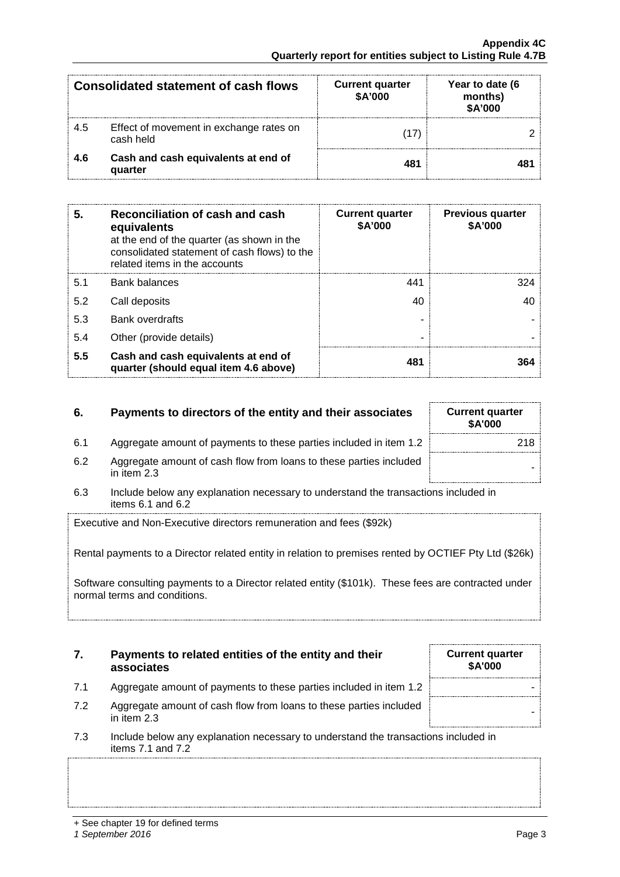| <b>Consolidated statement of cash flows</b> |                                                      | <b>Current quarter</b><br>\$A'000 | Year to date (6<br>months)<br>\$A'000 |
|---------------------------------------------|------------------------------------------------------|-----------------------------------|---------------------------------------|
| 4.5                                         | Effect of movement in exchange rates on<br>cash held |                                   |                                       |
| 4.6                                         | Cash and cash equivalents at end of<br>quarter       | 481                               |                                       |

| 5.  | Reconciliation of cash and cash<br>equivalents<br>at the end of the quarter (as shown in the<br>consolidated statement of cash flows) to the<br>related items in the accounts | <b>Current quarter</b><br>\$A'000 | <b>Previous quarter</b><br>\$A'000 |
|-----|-------------------------------------------------------------------------------------------------------------------------------------------------------------------------------|-----------------------------------|------------------------------------|
| 5.1 | Bank balances                                                                                                                                                                 | 441                               |                                    |
| 5.2 | Call deposits                                                                                                                                                                 | 40                                |                                    |
| 5.3 | <b>Bank overdrafts</b>                                                                                                                                                        |                                   |                                    |
| 5.4 | Other (provide details)                                                                                                                                                       |                                   |                                    |
| 5.5 | Cash and cash equivalents at end of<br>quarter (should equal item 4.6 above)                                                                                                  | 481                               |                                    |

### **6.** Payments to directors of the entity and their associates

- 6.1 Aggregate amount of payments to these parties included in item 1.2
- 6.2 Aggregate amount of cash flow from loans to these parties included in them 2.3 and the set of the set of the<br>in item 2.3 and the set of the set of the set of the set of the set of the set of the set of the set of the s
- 6.3 Include below any explanation necessary to understand the transactions included in items 6.1 and 6.2

Executive and Non-Executive directors remuneration and fees (\$92k)

Rental payments to a Director related entity in relation to premises rented by OCTIEF Pty Ltd (\$26k)

Software consulting payments to a Director related entity (\$101k). These fees are contracted under normal terms and conditions.

#### **7. Payments to related entities of the entity and their associates**

- 7.1 Aggregate amount of payments to these parties included in item 1.2 |
- 7.2 Aggregate amount of cash flow from loans to these parties included in them 2.3
- 7.3 Include below any explanation necessary to understand the transactions included in items 7.1 and 7.2

| <b>Current quarter</b><br>\$A'000 |     |
|-----------------------------------|-----|
|                                   | 218 |
|                                   |     |

**Current quarter \$A'000**

<sup>+</sup> See chapter 19 for defined terms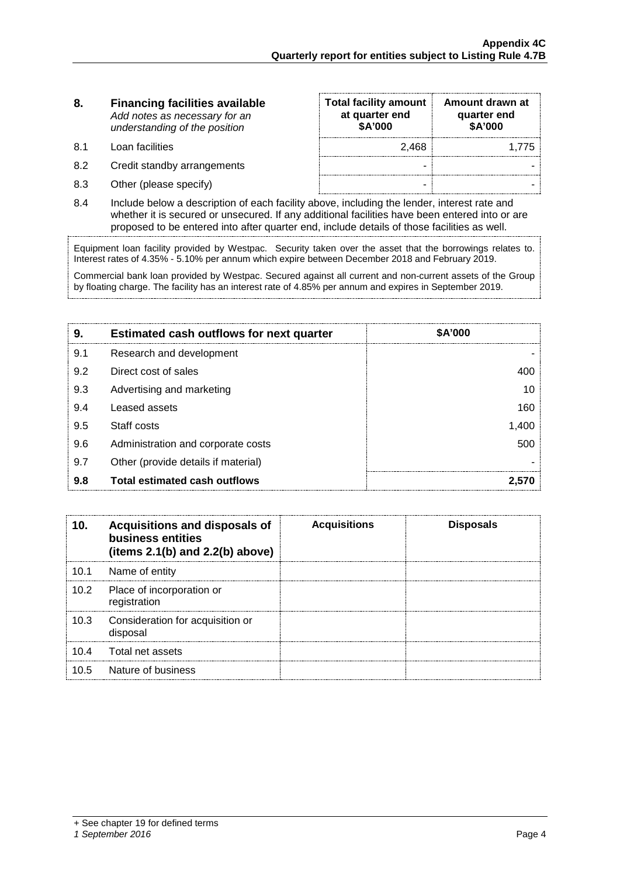#### **8. Financing facilities available** *Add notes as necessary for an understanding of the position*

- 8.1 Loan facilities
- 8.2 Credit standby arrangements
- 8.3 Other (please specify)

| <b>Total facility amount</b><br>at quarter end<br>\$A'000 | Amount drawn at<br>quarter end<br>\$A'000 |
|-----------------------------------------------------------|-------------------------------------------|
| 2,468                                                     | 1.775                                     |
|                                                           |                                           |
|                                                           |                                           |

8.4 Include below a description of each facility above, including the lender, interest rate and whether it is secured or unsecured. If any additional facilities have been entered into or are proposed to be entered into after quarter end, include details of those facilities as well.

Equipment loan facility provided by Westpac. Security taken over the asset that the borrowings relates to. Interest rates of 4.35% - 5.10% per annum which expire between December 2018 and February 2019.

Commercial bank loan provided by Westpac. Secured against all current and non-current assets of the Group by floating charge. The facility has an interest rate of 4.85% per annum and expires in September 2019.

| 9.  | <b>Estimated cash outflows for next quarter</b> | <b>\$A'000</b> |
|-----|-------------------------------------------------|----------------|
| 9.1 | Research and development                        |                |
| 9.2 | Direct cost of sales                            |                |
| 9.3 | Advertising and marketing                       |                |
| 9.4 | Leased assets                                   | 160            |
| 9.5 | Staff costs                                     | .400           |
| 9.6 | Administration and corporate costs              | 500            |
| 9.7 | Other (provide details if material)             |                |
| 9.8 | <b>Total estimated cash outflows</b>            |                |

|      | Acquisitions and disposals of<br>business entities<br>(items $2.1(b)$ and $2.2(b)$ above) | <b>Acquisitions</b> | <b>Disposals</b> |
|------|-------------------------------------------------------------------------------------------|---------------------|------------------|
| 10.1 | Name of entity                                                                            |                     |                  |
| 10.2 | Place of incorporation or<br>registration                                                 |                     |                  |
| 10.3 | Consideration for acquisition or<br>disposal                                              |                     |                  |
| 10.4 | Total net assets                                                                          |                     |                  |
| 10.5 | Nature of business                                                                        |                     |                  |